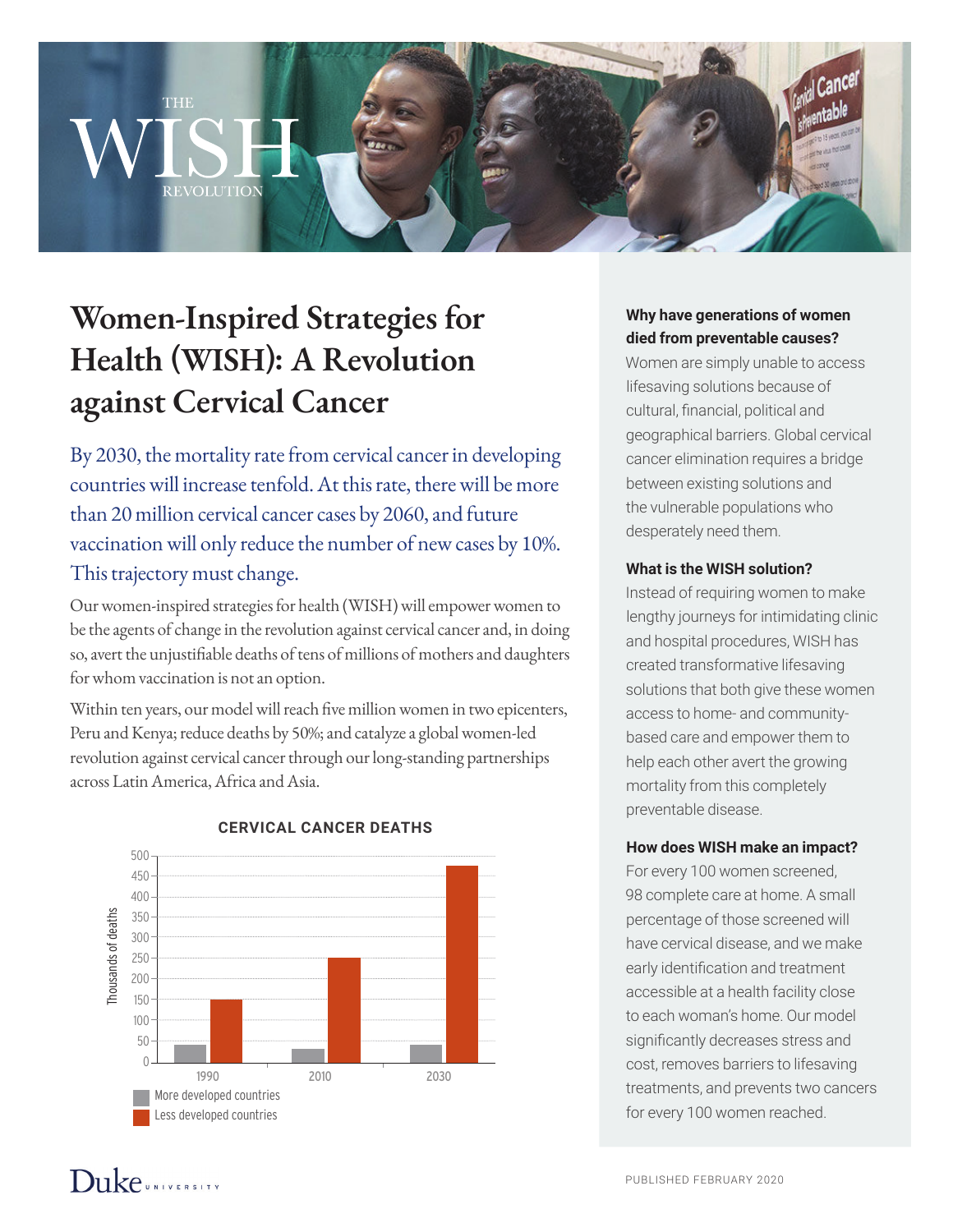# **Women-Inspired Strategies for Health (WISH): A Revolution against Cervical Cancer**

THE

REVOLUTION

By 2030, the mortality rate from cervical cancer in developing countries will increase tenfold. At this rate, there will be more than 20 million cervical cancer cases by 2060, and future vaccination will only reduce the number of new cases by 10%. This trajectory must change.

Our women-inspired strategies for health (WISH) will empower women to be the agents of change in the revolution against cervical cancer and, in doing so, avert the unjustifiable deaths of tens of millions of mothers and daughters for whom vaccination is not an option.

Within ten years, our model will reach five million women in two epicenters, Peru and Kenya; reduce deaths by 50%; and catalyze a global women-led revolution against cervical cancer through our long-standing partnerships across Latin America, Africa and Asia.



#### **CERVICAL CANCER DEATHS**

#### **Why have generations of women died from preventable causes?**

Women are simply unable to access lifesaving solutions because of cultural, financial, political and geographical barriers. Global cervical cancer elimination requires a bridge between existing solutions and the vulnerable populations who desperately need them.

#### **What is the WISH solution?**

Instead of requiring women to make lengthy journeys for intimidating clinic and hospital procedures, WISH has created transformative lifesaving solutions that both give these women access to home- and communitybased care and empower them to help each other avert the growing mortality from this completely preventable disease.

#### **How does WISH make an impact?**

For every 100 women screened, 98 complete care at home. A small percentage of those screened will have cervical disease, and we make early identification and treatment accessible at a health facility close to each woman's home. Our model significantly decreases stress and cost, removes barriers to lifesaving treatments, and prevents two cancers for every 100 women reached.

## $D$ uke